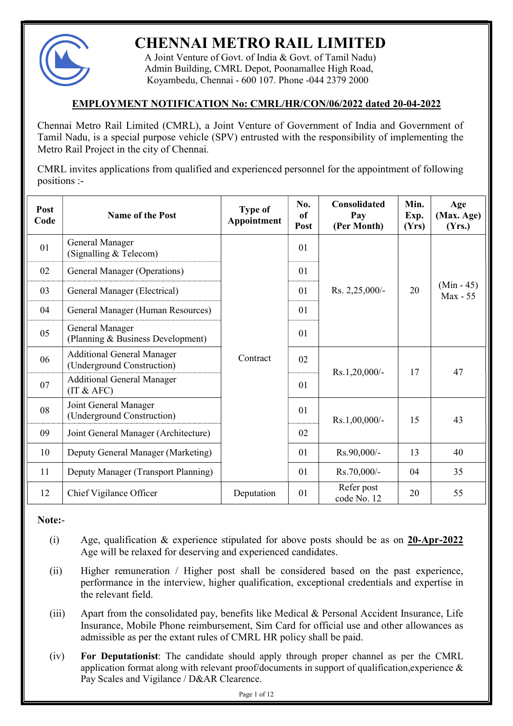

# CHENNAI METRO RAIL LIMITED

 A Joint Venture of Govt. of India & Govt. of Tamil Nadu) Admin Building, CMRL Depot, Poonamallee High Road, Koyambedu, Chennai - 600 107. Phone -044 2379 2000

# EMPLOYMENT NOTIFICATION No: CMRL/HR/CON/06/2022 dated 20-04-2022

Chennai Metro Rail Limited (CMRL), a Joint Venture of Government of India and Government of Tamil Nadu, is a special purpose vehicle (SPV) entrusted with the responsibility of implementing the Metro Rail Project in the city of Chennai.

CMRL invites applications from qualified and experienced personnel for the appointment of following positions :-

| Post<br>Code | <b>Name of the Post</b>                                         | <b>Type of</b><br>Appointment | No.<br><sub>of</sub><br>Post | <b>Consolidated</b><br>Pay<br>(Per Month) | Min.<br>Exp.<br>(Yrs) | Age<br>(Max. Age)<br>(Yrs.) |
|--------------|-----------------------------------------------------------------|-------------------------------|------------------------------|-------------------------------------------|-----------------------|-----------------------------|
| 01           | General Manager<br>(Signalling & Telecom)                       |                               | 01                           |                                           |                       |                             |
| 02           | General Manager (Operations)                                    |                               | 01                           |                                           |                       |                             |
| 03           | General Manager (Electrical)                                    |                               | 01                           | Rs. $2,25,000/-$                          | 20                    | $(Min - 45)$<br>Max - 55    |
| 04           | General Manager (Human Resources)                               |                               | 01                           |                                           |                       |                             |
| 05           | General Manager<br>(Planning & Business Development)            |                               | 01                           |                                           |                       |                             |
| 06           | <b>Additional General Manager</b><br>(Underground Construction) | Contract                      | 02                           | $Rs.1,20,000/$ -                          | 17<br>15              | 47<br>43                    |
| 07           | <b>Additional General Manager</b><br>(IT & AFC)                 |                               | 01                           |                                           |                       |                             |
| 08           | Joint General Manager<br>(Underground Construction)             |                               | 01                           | $Rs.1,00,000/$ -                          |                       |                             |
| 09           | Joint General Manager (Architecture)                            |                               | 02                           |                                           |                       |                             |
| 10           | Deputy General Manager (Marketing)                              |                               | 01                           | Rs.90,000/-                               | 13                    | 40                          |
| 11           | Deputy Manager (Transport Planning)                             |                               | 01                           | Rs.70,000/-                               | 04                    | 35                          |
| 12           | Chief Vigilance Officer                                         | Deputation                    | 01                           | Refer post<br>code No. 12                 | 20                    | 55                          |

Note:-

- (i) Age, qualification  $\&$  experience stipulated for above posts should be as on 20-Apr-2022 Age will be relaxed for deserving and experienced candidates.
- (ii) Higher remuneration / Higher post shall be considered based on the past experience, performance in the interview, higher qualification, exceptional credentials and expertise in the relevant field.
- (iii) Apart from the consolidated pay, benefits like Medical & Personal Accident Insurance, Life Insurance, Mobile Phone reimbursement, Sim Card for official use and other allowances as admissible as per the extant rules of CMRL HR policy shall be paid.
- (iv) For Deputationist: The candidate should apply through proper channel as per the CMRL application format along with relevant proof/documents in support of qualification,experience & Pay Scales and Vigilance / D&AR Clearence.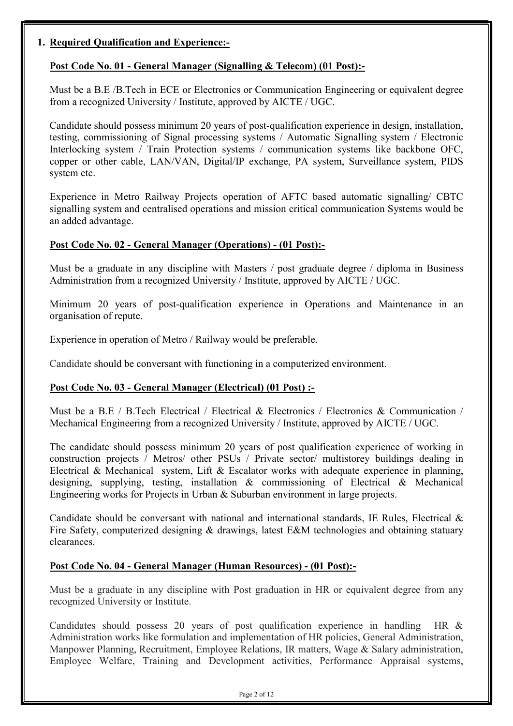## 1. Required Qualification and Experience:-

# Post Code No. 01 - General Manager (Signalling & Telecom) (01 Post):-

Must be a B.E /B.Tech in ECE or Electronics or Communication Engineering or equivalent degree from a recognized University / Institute, approved by AICTE / UGC.

Candidate should possess minimum 20 years of post-qualification experience in design, installation, testing, commissioning of Signal processing systems / Automatic Signalling system / Electronic Interlocking system / Train Protection systems / communication systems like backbone OFC, copper or other cable, LAN/VAN, Digital/IP exchange, PA system, Surveillance system, PIDS system etc.

Experience in Metro Railway Projects operation of AFTC based automatic signalling/ CBTC signalling system and centralised operations and mission critical communication Systems would be an added advantage.

#### Post Code No. 02 - General Manager (Operations) - (01 Post):-

Must be a graduate in any discipline with Masters / post graduate degree / diploma in Business Administration from a recognized University / Institute, approved by AICTE / UGC.

Minimum 20 years of post-qualification experience in Operations and Maintenance in an organisation of repute.

Experience in operation of Metro / Railway would be preferable.

Candidate should be conversant with functioning in a computerized environment.

#### Post Code No. 03 - General Manager (Electrical) (01 Post) :-

Must be a B.E / B.Tech Electrical / Electrical & Electronics / Electronics & Communication / Mechanical Engineering from a recognized University / Institute, approved by AICTE / UGC.

The candidate should possess minimum 20 years of post qualification experience of working in construction projects / Metros/ other PSUs / Private sector/ multistorey buildings dealing in Electrical & Mechanical system, Lift & Escalator works with adequate experience in planning, designing, supplying, testing, installation & commissioning of Electrical & Mechanical Engineering works for Projects in Urban & Suburban environment in large projects.

Candidate should be conversant with national and international standards, IE Rules, Electrical  $\&$ Fire Safety, computerized designing & drawings, latest E&M technologies and obtaining statuary clearances.

#### Post Code No. 04 - General Manager (Human Resources) - (01 Post):-

Must be a graduate in any discipline with Post graduation in HR or equivalent degree from any recognized University or Institute.

Candidates should possess 20 years of post qualification experience in handling HR & Administration works like formulation and implementation of HR policies, General Administration, Manpower Planning, Recruitment, Employee Relations, IR matters, Wage & Salary administration, Employee Welfare, Training and Development activities, Performance Appraisal systems,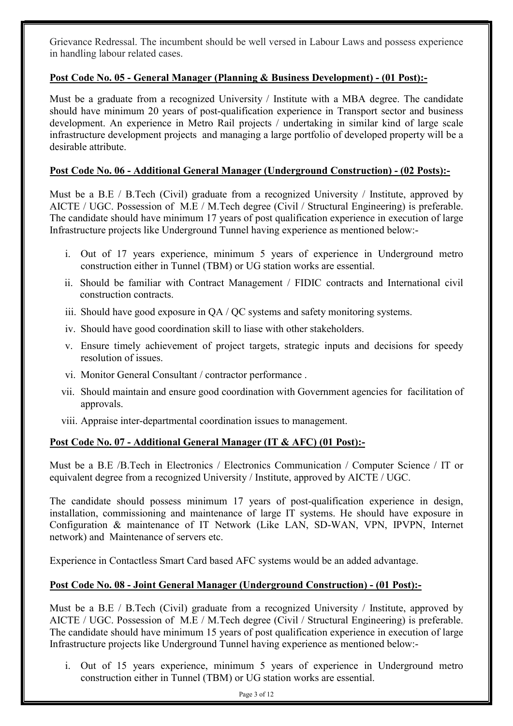Grievance Redressal. The incumbent should be well versed in Labour Laws and possess experience in handling labour related cases.

# Post Code No. 05 - General Manager (Planning & Business Development) - (01 Post):-

Must be a graduate from a recognized University / Institute with a MBA degree. The candidate should have minimum 20 years of post-qualification experience in Transport sector and business development. An experience in Metro Rail projects / undertaking in similar kind of large scale infrastructure development projects and managing a large portfolio of developed property will be a desirable attribute.

# Post Code No. 06 - Additional General Manager (Underground Construction) - (02 Posts):-

Must be a B.E / B.Tech (Civil) graduate from a recognized University / Institute, approved by AICTE / UGC. Possession of M.E / M.Tech degree (Civil / Structural Engineering) is preferable. The candidate should have minimum 17 years of post qualification experience in execution of large Infrastructure projects like Underground Tunnel having experience as mentioned below:-

- i. Out of 17 years experience, minimum 5 years of experience in Underground metro construction either in Tunnel (TBM) or UG station works are essential.
- ii. Should be familiar with Contract Management / FIDIC contracts and International civil construction contracts.
- iii. Should have good exposure in QA / QC systems and safety monitoring systems.
- iv. Should have good coordination skill to liase with other stakeholders.
- v. Ensure timely achievement of project targets, strategic inputs and decisions for speedy resolution of issues.
- vi. Monitor General Consultant / contractor performance .
- vii. Should maintain and ensure good coordination with Government agencies for facilitation of approvals.
- viii. Appraise inter-departmental coordination issues to management.

# Post Code No. 07 - Additional General Manager (IT & AFC) (01 Post):-

Must be a B.E /B.Tech in Electronics / Electronics Communication / Computer Science / IT or equivalent degree from a recognized University / Institute, approved by AICTE / UGC.

The candidate should possess minimum 17 years of post-qualification experience in design, installation, commissioning and maintenance of large IT systems. He should have exposure in Configuration & maintenance of IT Network (Like LAN, SD-WAN, VPN, IPVPN, Internet network) and Maintenance of servers etc.

Experience in Contactless Smart Card based AFC systems would be an added advantage.

#### Post Code No. 08 - Joint General Manager (Underground Construction) - (01 Post):-

Must be a B.E / B.Tech (Civil) graduate from a recognized University / Institute, approved by AICTE / UGC. Possession of M.E / M.Tech degree (Civil / Structural Engineering) is preferable. The candidate should have minimum 15 years of post qualification experience in execution of large Infrastructure projects like Underground Tunnel having experience as mentioned below:-

i. Out of 15 years experience, minimum 5 years of experience in Underground metro construction either in Tunnel (TBM) or UG station works are essential.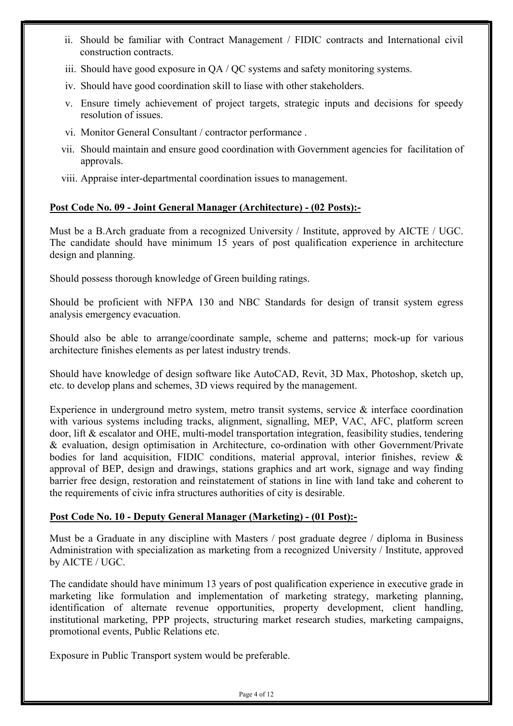- ii. Should be familiar with Contract Management / FIDIC contracts and International civil construction contracts.
- iii. Should have good exposure in QA / QC systems and safety monitoring systems.
- iv. Should have good coordination skill to liase with other stakeholders.
- v. Ensure timely achievement of project targets, strategic inputs and decisions for speedy resolution of issues.
- vi. Monitor General Consultant / contractor performance .
- vii. Should maintain and ensure good coordination with Government agencies for facilitation of approvals.
- viii. Appraise inter-departmental coordination issues to management.

#### Post Code No. 09 - Joint General Manager (Architecture) - (02 Posts):-

Must be a B.Arch graduate from a recognized University / Institute, approved by AICTE / UGC. The candidate should have minimum 15 years of post qualification experience in architecture design and planning.

Should possess thorough knowledge of Green building ratings.

Should be proficient with NFPA 130 and NBC Standards for design of transit system egress analysis emergency evacuation.

Should also be able to arrange/coordinate sample, scheme and patterns; mock-up for various architecture finishes elements as per latest industry trends.

Should have knowledge of design software like AutoCAD, Revit, 3D Max, Photoshop, sketch up, etc. to develop plans and schemes, 3D views required by the management.

Experience in underground metro system, metro transit systems, service & interface coordination with various systems including tracks, alignment, signalling, MEP, VAC, AFC, platform screen door, lift & escalator and OHE, multi-model transportation integration, feasibility studies, tendering & evaluation, design optimisation in Architecture, co-ordination with other Government/Private bodies for land acquisition, FIDIC conditions, material approval, interior finishes, review & approval of BEP, design and drawings, stations graphics and art work, signage and way finding barrier free design, restoration and reinstatement of stations in line with land take and coherent to the requirements of civic infra structures authorities of city is desirable.

#### Post Code No. 10 - Deputy General Manager (Marketing) - (01 Post):-

Must be a Graduate in any discipline with Masters / post graduate degree / diploma in Business Administration with specialization as marketing from a recognized University / Institute, approved by AICTE / UGC.

The candidate should have minimum 13 years of post qualification experience in executive grade in marketing like formulation and implementation of marketing strategy, marketing planning, identification of alternate revenue opportunities, property development, client handling, institutional marketing, PPP projects, structuring market research studies, marketing campaigns, promotional events, Public Relations etc.

Exposure in Public Transport system would be preferable.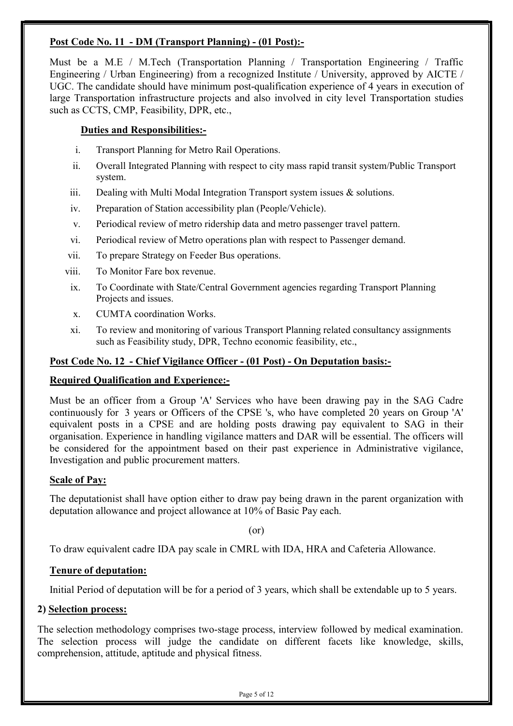## Post Code No. 11 - DM (Transport Planning) - (01 Post):-

Must be a M.E / M.Tech (Transportation Planning / Transportation Engineering / Traffic Engineering / Urban Engineering) from a recognized Institute / University, approved by AICTE / UGC. The candidate should have minimum post-qualification experience of 4 years in execution of large Transportation infrastructure projects and also involved in city level Transportation studies such as CCTS, CMP, Feasibility, DPR, etc.,

#### Duties and Responsibilities:-

- i. Transport Planning for Metro Rail Operations.
- ii. Overall Integrated Planning with respect to city mass rapid transit system/Public Transport system.
- iii. Dealing with Multi Modal Integration Transport system issues & solutions.
- iv. Preparation of Station accessibility plan (People/Vehicle).
- v. Periodical review of metro ridership data and metro passenger travel pattern.
- vi. Periodical review of Metro operations plan with respect to Passenger demand.
- vii. To prepare Strategy on Feeder Bus operations.
- viii. To Monitor Fare box revenue.
	- ix. To Coordinate with State/Central Government agencies regarding Transport Planning Projects and issues.
	- x. CUMTA coordination Works.
	- xi. To review and monitoring of various Transport Planning related consultancy assignments such as Feasibility study, DPR, Techno economic feasibility, etc.,

## Post Code No. 12 - Chief Vigilance Officer - (01 Post) - On Deputation basis:-

#### Required Qualification and Experience:-

Must be an officer from a Group 'A' Services who have been drawing pay in the SAG Cadre continuously for 3 years or Officers of the CPSE 's, who have completed 20 years on Group 'A' equivalent posts in a CPSE and are holding posts drawing pay equivalent to SAG in their organisation. Experience in handling vigilance matters and DAR will be essential. The officers will be considered for the appointment based on their past experience in Administrative vigilance, Investigation and public procurement matters.

#### Scale of Pay:

The deputationist shall have option either to draw pay being drawn in the parent organization with deputation allowance and project allowance at 10% of Basic Pay each.

(or)

To draw equivalent cadre IDA pay scale in CMRL with IDA, HRA and Cafeteria Allowance.

#### Tenure of deputation:

Initial Period of deputation will be for a period of 3 years, which shall be extendable up to 5 years.

#### 2) Selection process:

The selection methodology comprises two-stage process, interview followed by medical examination. The selection process will judge the candidate on different facets like knowledge, skills, comprehension, attitude, aptitude and physical fitness.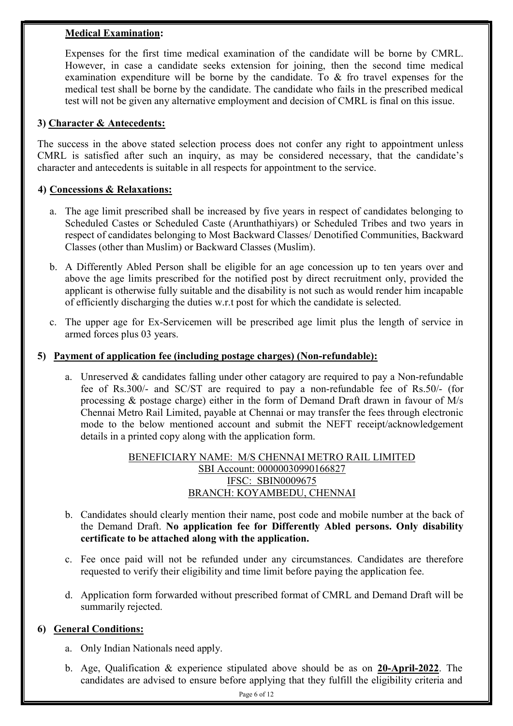#### Medical Examination:

Expenses for the first time medical examination of the candidate will be borne by CMRL. However, in case a candidate seeks extension for joining, then the second time medical examination expenditure will be borne by the candidate. To & fro travel expenses for the medical test shall be borne by the candidate. The candidate who fails in the prescribed medical test will not be given any alternative employment and decision of CMRL is final on this issue.

#### 3) Character & Antecedents:

The success in the above stated selection process does not confer any right to appointment unless CMRL is satisfied after such an inquiry, as may be considered necessary, that the candidate's character and antecedents is suitable in all respects for appointment to the service.

#### 4) Concessions & Relaxations:

- a. The age limit prescribed shall be increased by five years in respect of candidates belonging to Scheduled Castes or Scheduled Caste (Arunthathiyars) or Scheduled Tribes and two years in respect of candidates belonging to Most Backward Classes/ Denotified Communities, Backward Classes (other than Muslim) or Backward Classes (Muslim).
- b. A Differently Abled Person shall be eligible for an age concession up to ten years over and above the age limits prescribed for the notified post by direct recruitment only, provided the applicant is otherwise fully suitable and the disability is not such as would render him incapable of efficiently discharging the duties w.r.t post for which the candidate is selected.
- c. The upper age for Ex-Servicemen will be prescribed age limit plus the length of service in armed forces plus 03 years.

#### 5) Payment of application fee (including postage charges) (Non-refundable):

a. Unreserved  $\&$  candidates falling under other catagory are required to pay a Non-refundable fee of Rs.300/- and SC/ST are required to pay a non-refundable fee of Rs.50/- (for processing & postage charge) either in the form of Demand Draft drawn in favour of M/s Chennai Metro Rail Limited, payable at Chennai or may transfer the fees through electronic mode to the below mentioned account and submit the NEFT receipt/acknowledgement details in a printed copy along with the application form.

## BENEFICIARY NAME: M/S CHENNAI METRO RAIL LIMITED SBI Account: 00000030990166827 IFSC: SBIN0009675 BRANCH: KOYAMBEDU, CHENNAI

- b. Candidates should clearly mention their name, post code and mobile number at the back of the Demand Draft. No application fee for Differently Abled persons. Only disability certificate to be attached along with the application.
- c. Fee once paid will not be refunded under any circumstances. Candidates are therefore requested to verify their eligibility and time limit before paying the application fee.
- d. Application form forwarded without prescribed format of CMRL and Demand Draft will be summarily rejected.

#### 6) General Conditions:

- a. Only Indian Nationals need apply.
- b. Age, Qualification & experience stipulated above should be as on 20-April-2022. The candidates are advised to ensure before applying that they fulfill the eligibility criteria and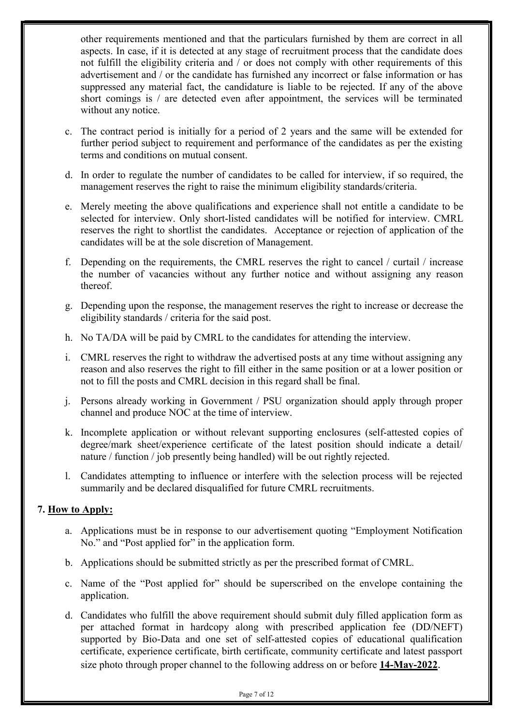other requirements mentioned and that the particulars furnished by them are correct in all aspects. In case, if it is detected at any stage of recruitment process that the candidate does not fulfill the eligibility criteria and / or does not comply with other requirements of this advertisement and / or the candidate has furnished any incorrect or false information or has suppressed any material fact, the candidature is liable to be rejected. If any of the above short comings is / are detected even after appointment, the services will be terminated without any notice.

- c. The contract period is initially for a period of 2 years and the same will be extended for further period subject to requirement and performance of the candidates as per the existing terms and conditions on mutual consent.
- d. In order to regulate the number of candidates to be called for interview, if so required, the management reserves the right to raise the minimum eligibility standards/criteria.
- e. Merely meeting the above qualifications and experience shall not entitle a candidate to be selected for interview. Only short-listed candidates will be notified for interview. CMRL reserves the right to shortlist the candidates. Acceptance or rejection of application of the candidates will be at the sole discretion of Management.
- f. Depending on the requirements, the CMRL reserves the right to cancel / curtail / increase the number of vacancies without any further notice and without assigning any reason thereof.
- g. Depending upon the response, the management reserves the right to increase or decrease the eligibility standards / criteria for the said post.
- h. No TA/DA will be paid by CMRL to the candidates for attending the interview.
- i. CMRL reserves the right to withdraw the advertised posts at any time without assigning any reason and also reserves the right to fill either in the same position or at a lower position or not to fill the posts and CMRL decision in this regard shall be final.
- j. Persons already working in Government / PSU organization should apply through proper channel and produce NOC at the time of interview.
- k. Incomplete application or without relevant supporting enclosures (self-attested copies of degree/mark sheet/experience certificate of the latest position should indicate a detail/ nature / function / job presently being handled) will be out rightly rejected.
- l. Candidates attempting to influence or interfere with the selection process will be rejected summarily and be declared disqualified for future CMRL recruitments.

#### 7. How to Apply:

- a. Applications must be in response to our advertisement quoting "Employment Notification No." and "Post applied for" in the application form.
- b. Applications should be submitted strictly as per the prescribed format of CMRL.
- c. Name of the "Post applied for" should be superscribed on the envelope containing the application.
- d. Candidates who fulfill the above requirement should submit duly filled application form as per attached format in hardcopy along with prescribed application fee (DD/NEFT) supported by Bio-Data and one set of self-attested copies of educational qualification certificate, experience certificate, birth certificate, community certificate and latest passport size photo through proper channel to the following address on or before 14-May-2022.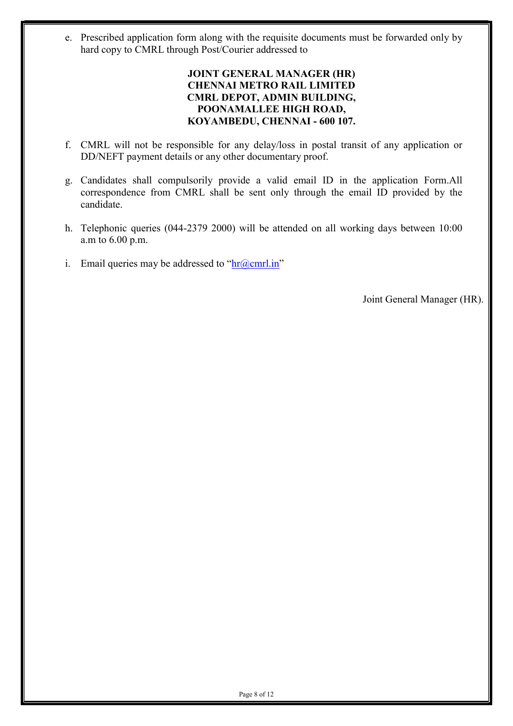e. Prescribed application form along with the requisite documents must be forwarded only by hard copy to CMRL through Post/Courier addressed to

#### JOINT GENERAL MANAGER (HR) CHENNAI METRO RAIL LIMITED CMRL DEPOT, ADMIN BUILDING, POONAMALLEE HIGH ROAD, KOYAMBEDU, CHENNAI - 600 107.

- f. CMRL will not be responsible for any delay/loss in postal transit of any application or DD/NEFT payment details or any other documentary proof.
- g. Candidates shall compulsorily provide a valid email ID in the application Form.All correspondence from CMRL shall be sent only through the email ID provided by the candidate.
- h. Telephonic queries (044-2379 2000) will be attended on all working days between 10:00 a.m to 6.00 p.m.
- i. Email queries may be addressed to " $\frac{ln(a)$  cmrl.in"

Joint General Manager (HR).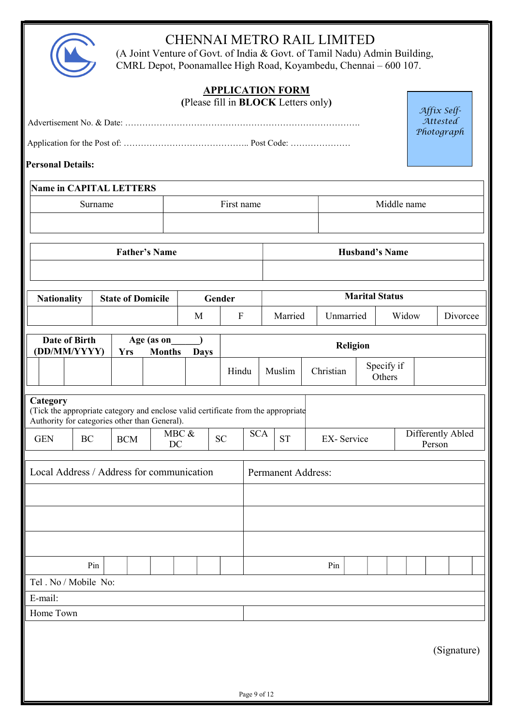

# CHENNAI METRO RAIL LIMITED

I

(A Joint Venture of Govt. of India & Govt. of Tamil Nadu) Admin Building, CMRL Depot, Poonamallee High Road, Koyambedu, Chennai – 600 107.

|                                                           |         |            |                             |                      |             |           |              | <b>APPLICATION FORM</b><br>(Please fill in <b>BLOCK</b> Letters only)                           |                      |                                   |                       |                       |  | Affix Self-       |  |
|-----------------------------------------------------------|---------|------------|-----------------------------|----------------------|-------------|-----------|--------------|-------------------------------------------------------------------------------------------------|----------------------|-----------------------------------|-----------------------|-----------------------|--|-------------------|--|
| Attested<br>Photograph                                    |         |            |                             |                      |             |           |              |                                                                                                 |                      |                                   |                       |                       |  |                   |  |
|                                                           |         |            |                             |                      |             |           |              |                                                                                                 |                      |                                   |                       |                       |  |                   |  |
| <b>Personal Details:</b>                                  |         |            |                             |                      |             |           |              |                                                                                                 |                      |                                   |                       |                       |  |                   |  |
| <b>Name in CAPITAL LETTERS</b>                            |         |            |                             |                      |             |           |              |                                                                                                 |                      |                                   |                       |                       |  |                   |  |
|                                                           | Surname |            |                             | First name           | Middle name |           |              |                                                                                                 |                      |                                   |                       |                       |  |                   |  |
|                                                           |         |            |                             |                      |             |           |              |                                                                                                 |                      |                                   |                       |                       |  |                   |  |
|                                                           |         |            |                             | <b>Father's Name</b> |             |           |              |                                                                                                 |                      |                                   |                       | <b>Husband's Name</b> |  |                   |  |
|                                                           |         |            |                             |                      |             |           |              |                                                                                                 |                      |                                   |                       |                       |  |                   |  |
| <b>Nationality</b>                                        |         |            | <b>State of Domicile</b>    |                      |             | Gender    |              |                                                                                                 |                      |                                   | <b>Marital Status</b> |                       |  |                   |  |
|                                                           |         |            |                             |                      | M           |           | $\mathbf{F}$ |                                                                                                 | Married<br>Unmarried |                                   | Widow                 |                       |  | Divorcee          |  |
| <b>Date of Birth</b><br>(DD/MM/YYYY)                      |         | <b>Yrs</b> | Age (as on<br><b>Months</b> | <b>Days</b>          |             |           |              |                                                                                                 | Religion             |                                   |                       |                       |  |                   |  |
|                                                           |         |            |                             |                      |             |           | Hindu        | Muslim                                                                                          |                      | Specify if<br>Christian<br>Others |                       |                       |  |                   |  |
| Category<br>Authority for categories other than General). |         |            |                             |                      | MBC &       |           |              | (Tick the appropriate category and enclose valid certificate from the appropriate<br><b>SCA</b> |                      |                                   |                       |                       |  | Differently Abled |  |
| <b>GEN</b>                                                | BC      |            | <b>BCM</b>                  | DC                   |             | <b>SC</b> |              | <b>ST</b>                                                                                       |                      | EX-Service                        |                       |                       |  | Person            |  |
| Local Address / Address for communication                 |         |            |                             |                      |             |           |              | Permanent Address:                                                                              |                      |                                   |                       |                       |  |                   |  |
|                                                           |         |            |                             |                      |             |           |              |                                                                                                 |                      |                                   |                       |                       |  |                   |  |
|                                                           |         |            |                             |                      |             |           |              |                                                                                                 |                      |                                   |                       |                       |  |                   |  |
| Tel. No / Mobile No:                                      | Pin     |            |                             |                      |             |           |              |                                                                                                 |                      | Pin                               |                       |                       |  |                   |  |
| E-mail:                                                   |         |            |                             |                      |             |           |              |                                                                                                 |                      |                                   |                       |                       |  |                   |  |
| Home Town                                                 |         |            |                             |                      |             |           |              |                                                                                                 |                      |                                   |                       |                       |  |                   |  |
|                                                           |         |            |                             |                      |             |           |              |                                                                                                 |                      |                                   |                       |                       |  | (Signature)       |  |
|                                                           |         |            |                             |                      |             |           | Page 9 of 12 |                                                                                                 |                      |                                   |                       |                       |  |                   |  |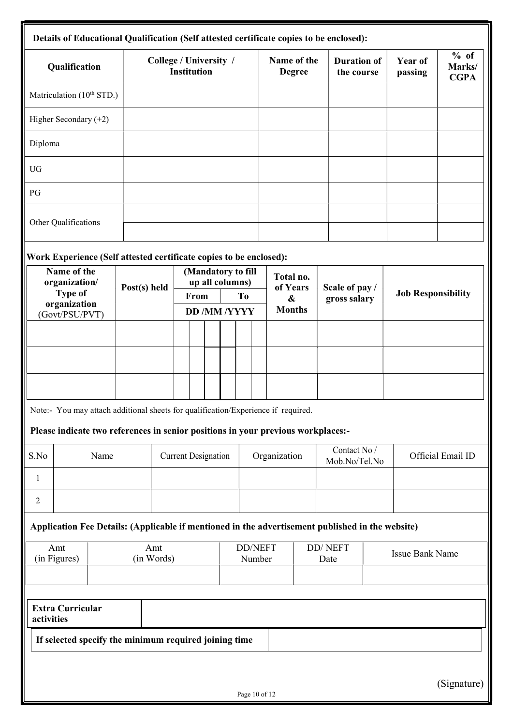| Qualification                                                                                    |                   | College / University /<br><b>Institution</b> |                                       |                          | Name of the<br><b>Degree</b>               | <b>Duration of</b><br>the course | Year of<br>passing        | % of<br>Marks/<br><b>CGPA</b> |
|--------------------------------------------------------------------------------------------------|-------------------|----------------------------------------------|---------------------------------------|--------------------------|--------------------------------------------|----------------------------------|---------------------------|-------------------------------|
| Matriculation (10 <sup>th</sup> STD.)                                                            |                   |                                              |                                       |                          |                                            |                                  |                           |                               |
| Higher Secondary $(+2)$                                                                          |                   |                                              |                                       |                          |                                            |                                  |                           |                               |
| Diploma                                                                                          |                   |                                              |                                       |                          |                                            |                                  |                           |                               |
| UG                                                                                               |                   |                                              |                                       |                          |                                            |                                  |                           |                               |
| $\mathbf{P}\mathbf{G}$                                                                           |                   |                                              |                                       |                          |                                            |                                  |                           |                               |
| Other Qualifications                                                                             |                   |                                              |                                       |                          |                                            |                                  |                           |                               |
| Work Experience (Self attested certificate copies to be enclosed):                               |                   |                                              |                                       |                          |                                            |                                  |                           |                               |
| Name of the<br>organization/<br>Type of                                                          | Post(s) held      | From                                         | (Mandatory to fill<br>up all columns) | T <sub>o</sub>           | Total no.<br>of Years<br>$\boldsymbol{\&}$ | Scale of pay /                   | <b>Job Responsibility</b> |                               |
| organization<br>(Govt/PSU/PVT)                                                                   |                   |                                              | <b>DD /MM /YYYY</b>                   |                          | <b>Months</b>                              | gross salary                     |                           |                               |
|                                                                                                  |                   |                                              |                                       |                          |                                            |                                  |                           |                               |
|                                                                                                  |                   |                                              |                                       |                          |                                            |                                  |                           |                               |
|                                                                                                  |                   |                                              |                                       |                          |                                            |                                  |                           |                               |
| Note:- You may attach additional sheets for qualification/Experience if required.                |                   |                                              |                                       |                          |                                            |                                  |                           |                               |
| Please indicate two references in senior positions in your previous workplaces:-                 |                   |                                              |                                       |                          |                                            |                                  |                           |                               |
| S.No<br>Name                                                                                     |                   | <b>Current Designation</b>                   |                                       |                          | Organization                               | Contact No /<br>Mob.No/Tel.No    |                           | Official Email ID             |
|                                                                                                  |                   |                                              |                                       |                          |                                            |                                  |                           |                               |
| $\overline{2}$                                                                                   |                   |                                              |                                       |                          |                                            |                                  |                           |                               |
| Application Fee Details: (Applicable if mentioned in the advertisement published in the website) |                   |                                              |                                       |                          |                                            |                                  |                           |                               |
| Amt<br>(in Figures)                                                                              | Amt<br>(in Words) |                                              |                                       | <b>DD/NEFT</b><br>Number |                                            | <b>DD</b> / NEFT<br>Date         | Issue Bank Name           |                               |
|                                                                                                  |                   |                                              |                                       |                          |                                            |                                  |                           |                               |
| <b>Extra Curricular</b>                                                                          |                   |                                              |                                       |                          |                                            |                                  |                           |                               |
|                                                                                                  |                   |                                              |                                       |                          |                                            |                                  |                           |                               |
| activities<br>If selected specify the minimum required joining time                              |                   |                                              |                                       |                          |                                            |                                  |                           |                               |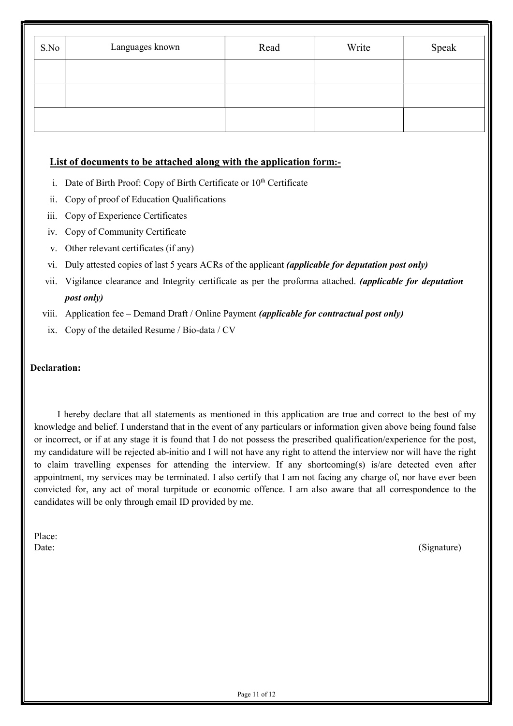| S.No | Languages known | Read | Write | Speak |  |  |
|------|-----------------|------|-------|-------|--|--|
|      |                 |      |       |       |  |  |
|      |                 |      |       |       |  |  |
|      |                 |      |       |       |  |  |

#### List of documents to be attached along with the application form:-

- i. Date of Birth Proof: Copy of Birth Certificate or  $10<sup>th</sup>$  Certificate
- ii. Copy of proof of Education Qualifications
- iii. Copy of Experience Certificates
- iv. Copy of Community Certificate
- v. Other relevant certificates (if any)
- vi. Duly attested copies of last 5 years ACRs of the applicant (applicable for deputation post only)
- vii. Vigilance clearance and Integrity certificate as per the proforma attached. (applicable for deputation post only)
- viii. Application fee Demand Draft / Online Payment *(applicable for contractual post only)* 
	- ix. Copy of the detailed Resume / Bio-data / CV

#### Declaration:

I hereby declare that all statements as mentioned in this application are true and correct to the best of my knowledge and belief. I understand that in the event of any particulars or information given above being found false or incorrect, or if at any stage it is found that I do not possess the prescribed qualification/experience for the post, my candidature will be rejected ab-initio and I will not have any right to attend the interview nor will have the right to claim travelling expenses for attending the interview. If any shortcoming(s) is/are detected even after appointment, my services may be terminated. I also certify that I am not facing any charge of, nor have ever been convicted for, any act of moral turpitude or economic offence. I am also aware that all correspondence to the candidates will be only through email ID provided by me.

Place:

Date: (Signature)